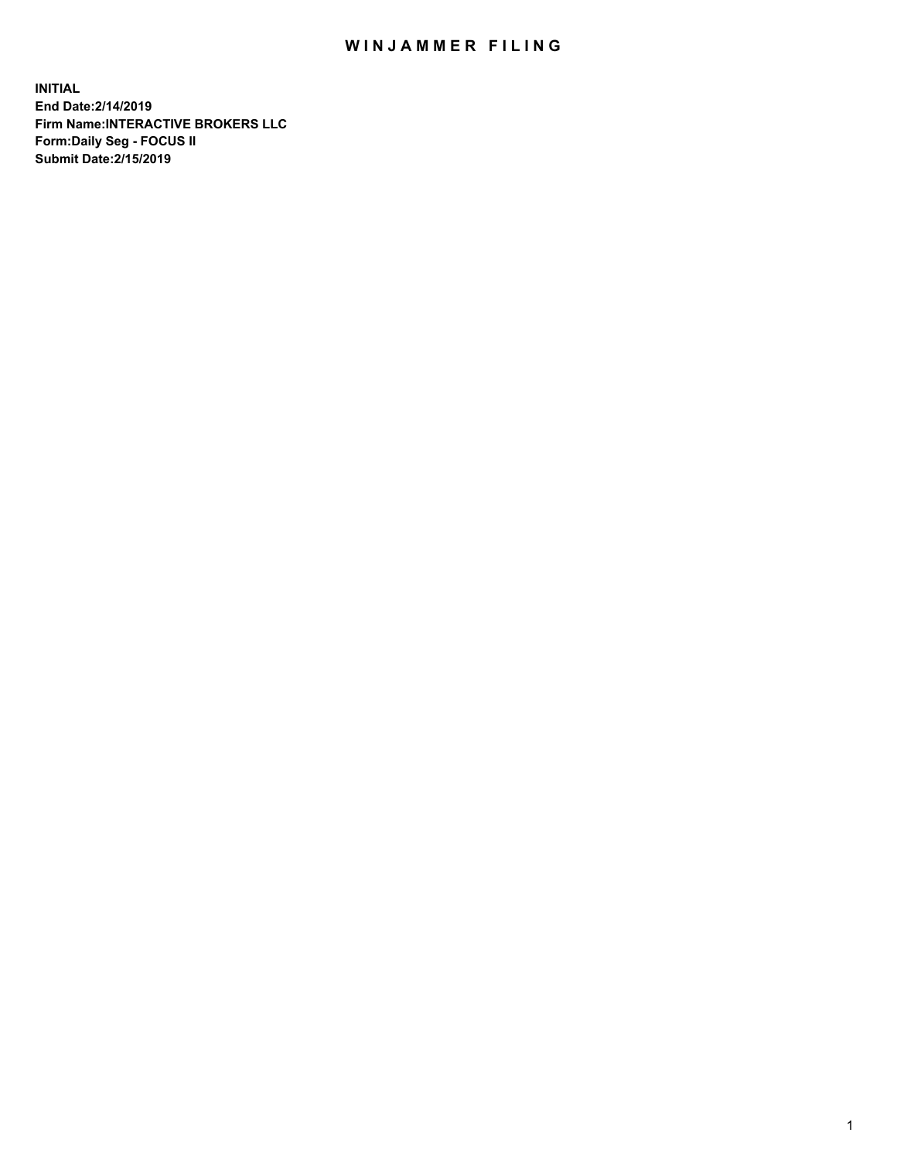## WIN JAMMER FILING

**INITIAL End Date:2/14/2019 Firm Name:INTERACTIVE BROKERS LLC Form:Daily Seg - FOCUS II Submit Date:2/15/2019**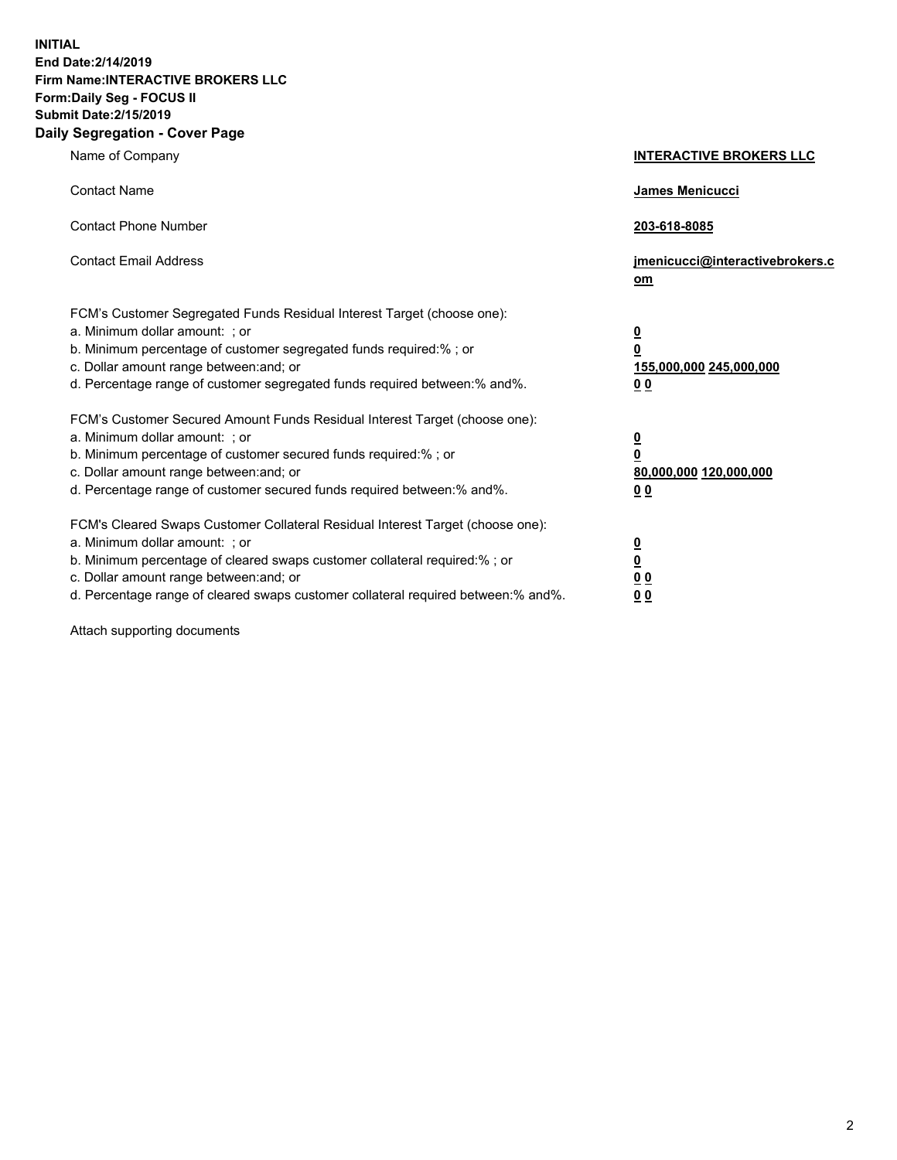**INITIAL End Date:2/14/2019 Firm Name:INTERACTIVE BROKERS LLC Form:Daily Seg - FOCUS II Submit Date:2/15/2019 Daily Segregation - Cover Page**

| Name of Company                                                                                                                                                                                                                                                                                                                | <b>INTERACTIVE BROKERS LLC</b>                                                                  |
|--------------------------------------------------------------------------------------------------------------------------------------------------------------------------------------------------------------------------------------------------------------------------------------------------------------------------------|-------------------------------------------------------------------------------------------------|
| <b>Contact Name</b>                                                                                                                                                                                                                                                                                                            | James Menicucci                                                                                 |
| <b>Contact Phone Number</b>                                                                                                                                                                                                                                                                                                    | 203-618-8085                                                                                    |
| <b>Contact Email Address</b>                                                                                                                                                                                                                                                                                                   | jmenicucci@interactivebrokers.c<br>om                                                           |
| FCM's Customer Segregated Funds Residual Interest Target (choose one):<br>a. Minimum dollar amount: ; or<br>b. Minimum percentage of customer segregated funds required:% ; or<br>c. Dollar amount range between: and; or<br>d. Percentage range of customer segregated funds required between:% and%.                         | $\overline{\mathbf{0}}$<br>$\overline{\mathbf{0}}$<br>155,000,000 245,000,000<br>0 <sub>0</sub> |
| FCM's Customer Secured Amount Funds Residual Interest Target (choose one):<br>a. Minimum dollar amount: ; or<br>b. Minimum percentage of customer secured funds required:% ; or<br>c. Dollar amount range between: and; or<br>d. Percentage range of customer secured funds required between:% and%.                           | $\overline{\mathbf{0}}$<br>0<br>80,000,000 120,000,000<br>0 <sub>0</sub>                        |
| FCM's Cleared Swaps Customer Collateral Residual Interest Target (choose one):<br>a. Minimum dollar amount: ; or<br>b. Minimum percentage of cleared swaps customer collateral required:% ; or<br>c. Dollar amount range between: and; or<br>d. Percentage range of cleared swaps customer collateral required between:% and%. | $\overline{\mathbf{0}}$<br><u>0</u><br>$\underline{0}$ $\underline{0}$<br>00                    |

Attach supporting documents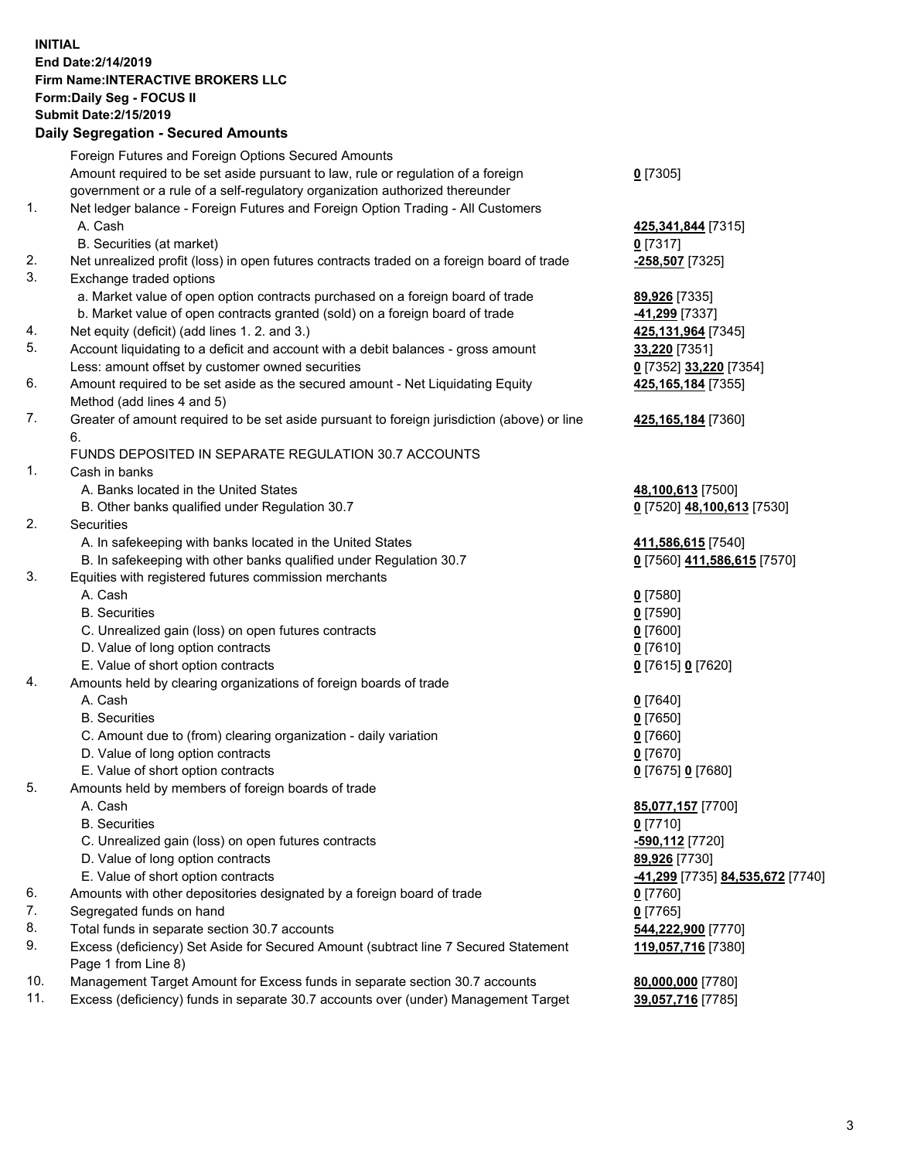## **INITIAL End Date:2/14/2019 Firm Name:INTERACTIVE BROKERS LLC Form:Daily Seg - FOCUS II Submit Date:2/15/2019 Daily Segregation - Secured Amounts**

|     | Daily Segregation - Secured Aniounts                                                        |                                                      |
|-----|---------------------------------------------------------------------------------------------|------------------------------------------------------|
|     | Foreign Futures and Foreign Options Secured Amounts                                         |                                                      |
|     | Amount required to be set aside pursuant to law, rule or regulation of a foreign            | $0$ [7305]                                           |
|     | government or a rule of a self-regulatory organization authorized thereunder                |                                                      |
| 1.  | Net ledger balance - Foreign Futures and Foreign Option Trading - All Customers             |                                                      |
|     | A. Cash                                                                                     | 425,341,844 [7315]                                   |
|     | B. Securities (at market)                                                                   | $0$ [7317]                                           |
| 2.  | Net unrealized profit (loss) in open futures contracts traded on a foreign board of trade   | -258,507 [7325]                                      |
| 3.  | Exchange traded options                                                                     |                                                      |
|     | a. Market value of open option contracts purchased on a foreign board of trade              | 89,926 [7335]                                        |
|     | b. Market value of open contracts granted (sold) on a foreign board of trade                | 41,299 [7337]                                        |
| 4.  | Net equity (deficit) (add lines 1.2. and 3.)                                                | 425,131,964 [7345]                                   |
| 5.  | Account liquidating to a deficit and account with a debit balances - gross amount           | 33,220 [7351]                                        |
|     | Less: amount offset by customer owned securities                                            | 0 [7352] 33,220 [7354]                               |
| 6.  | Amount required to be set aside as the secured amount - Net Liquidating Equity              | 425, 165, 184 [7355]                                 |
|     | Method (add lines 4 and 5)                                                                  |                                                      |
| 7.  | Greater of amount required to be set aside pursuant to foreign jurisdiction (above) or line | 425,165,184 [7360]                                   |
|     | 6.                                                                                          |                                                      |
|     | FUNDS DEPOSITED IN SEPARATE REGULATION 30.7 ACCOUNTS                                        |                                                      |
| 1.  | Cash in banks                                                                               |                                                      |
|     | A. Banks located in the United States                                                       | 48,100,613 [7500]                                    |
|     | B. Other banks qualified under Regulation 30.7                                              | 0 [7520] 48,100,613 [7530]                           |
| 2.  | Securities                                                                                  |                                                      |
|     | A. In safekeeping with banks located in the United States                                   | 411,586,615 [7540]                                   |
|     | B. In safekeeping with other banks qualified under Regulation 30.7                          | 0 [7560] 411,586,615 [7570]                          |
| 3.  | Equities with registered futures commission merchants                                       |                                                      |
|     | A. Cash<br><b>B.</b> Securities                                                             | $0$ [7580]                                           |
|     |                                                                                             | $0$ [7590]                                           |
|     | C. Unrealized gain (loss) on open futures contracts<br>D. Value of long option contracts    | $0$ [7600]<br>$0$ [7610]                             |
|     | E. Value of short option contracts                                                          | 0 [7615] 0 [7620]                                    |
| 4.  | Amounts held by clearing organizations of foreign boards of trade                           |                                                      |
|     | A. Cash                                                                                     | $0$ [7640]                                           |
|     | <b>B.</b> Securities                                                                        | $0$ [7650]                                           |
|     | C. Amount due to (from) clearing organization - daily variation                             | $0$ [7660]                                           |
|     | D. Value of long option contracts                                                           | $0$ [7670]                                           |
|     | E. Value of short option contracts                                                          | 0 [7675] 0 [7680]                                    |
| 5.  | Amounts held by members of foreign boards of trade                                          |                                                      |
|     | A. Cash                                                                                     | 85,077,157 [7700]                                    |
|     | <b>B.</b> Securities                                                                        | $0$ [7710]                                           |
|     | C. Unrealized gain (loss) on open futures contracts                                         | -590,112 [7720]                                      |
|     | D. Value of long option contracts                                                           | 89,926 [7730]                                        |
|     | E. Value of short option contracts                                                          | <mark>-41,299</mark> [7735] <u>84,535,672</u> [7740] |
| 6.  | Amounts with other depositories designated by a foreign board of trade                      | 0 [7760]                                             |
| 7.  | Segregated funds on hand                                                                    | $0$ [7765]                                           |
| 8.  | Total funds in separate section 30.7 accounts                                               | 544,222,900 [7770]                                   |
| 9.  | Excess (deficiency) Set Aside for Secured Amount (subtract line 7 Secured Statement         | 119,057,716 [7380]                                   |
|     | Page 1 from Line 8)                                                                         |                                                      |
| 10. | Management Target Amount for Excess funds in separate section 30.7 accounts                 | 80,000,000 [7780]                                    |
| 11. | Excess (deficiency) funds in separate 30.7 accounts over (under) Management Target          | 39,057,716 [7785]                                    |
|     |                                                                                             |                                                      |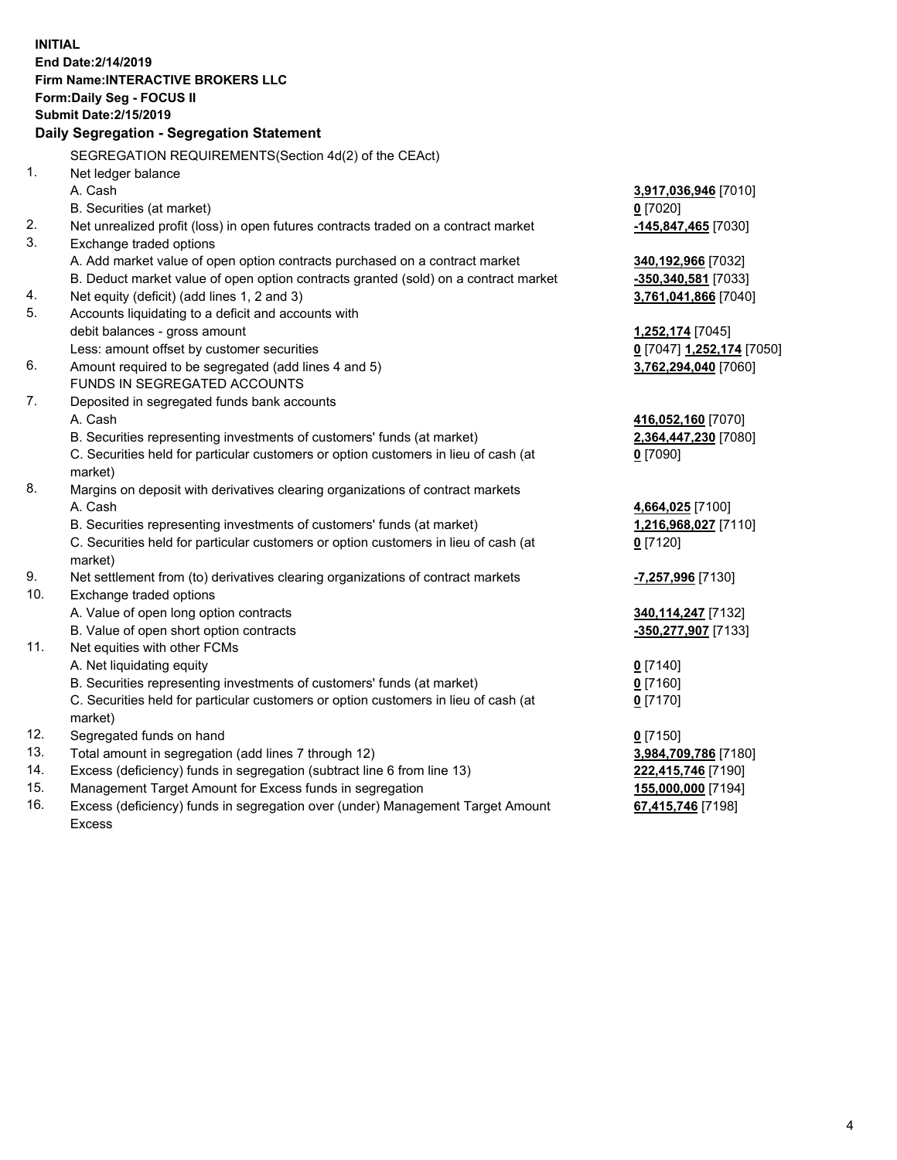**INITIAL End Date:2/14/2019 Firm Name:INTERACTIVE BROKERS LLC Form:Daily Seg - FOCUS II Submit Date:2/15/2019 Daily Segregation - Segregation Statement** SEGREGATION REQUIREMENTS(Section 4d(2) of the CEAct) 1. Net ledger balance A. Cash **3,917,036,946** [7010] B. Securities (at market) **0** [7020] 2. Net unrealized profit (loss) in open futures contracts traded on a contract market **-145,847,465** [7030] 3. Exchange traded options A. Add market value of open option contracts purchased on a contract market **340,192,966** [7032] B. Deduct market value of open option contracts granted (sold) on a contract market **-350,340,581** [7033] 4. Net equity (deficit) (add lines 1, 2 and 3) **3,761,041,866** [7040] 5. Accounts liquidating to a deficit and accounts with debit balances - gross amount **1,252,174** [7045] Less: amount offset by customer securities **0** [7047] **1,252,174** [7050] 6. Amount required to be segregated (add lines 4 and 5) **3,762,294,040** [7060] FUNDS IN SEGREGATED ACCOUNTS 7. Deposited in segregated funds bank accounts A. Cash **416,052,160** [7070] B. Securities representing investments of customers' funds (at market) **2,364,447,230** [7080] C. Securities held for particular customers or option customers in lieu of cash (at market) **0** [7090] 8. Margins on deposit with derivatives clearing organizations of contract markets A. Cash **4,664,025** [7100] B. Securities representing investments of customers' funds (at market) **1,216,968,027** [7110] C. Securities held for particular customers or option customers in lieu of cash (at market) **0** [7120] 9. Net settlement from (to) derivatives clearing organizations of contract markets **-7,257,996** [7130] 10. Exchange traded options A. Value of open long option contracts **340,114,247** [7132] B. Value of open short option contracts **-350,277,907** [7133] 11. Net equities with other FCMs A. Net liquidating equity **0** [7140] B. Securities representing investments of customers' funds (at market) **0** [7160] C. Securities held for particular customers or option customers in lieu of cash (at market) **0** [7170] 12. Segregated funds on hand **0** [7150] 13. Total amount in segregation (add lines 7 through 12) **3,984,709,786** [7180] 14. Excess (deficiency) funds in segregation (subtract line 6 from line 13) **222,415,746** [7190] 15. Management Target Amount for Excess funds in segregation **155,000,000** [7194]

16. Excess (deficiency) funds in segregation over (under) Management Target Amount Excess

**67,415,746** [7198]